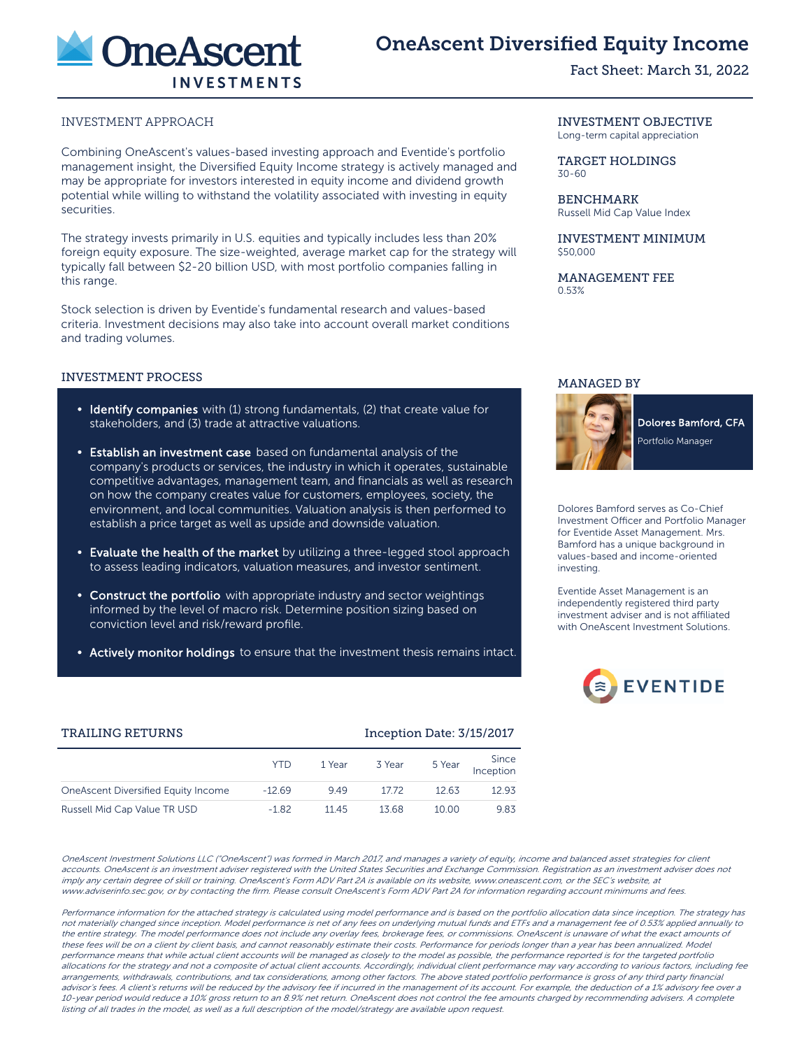

# OneAscent Diversified Equity Income

Fact Sheet: March 31, 2022

## INVESTMENT APPROACH

Combining OneAscent's values-based investing approach and Eventide's portfolio management insight, the Diversified Equity Income strategy is actively managed and may be appropriate for investors interested in equity income and dividend growth potential while willing to withstand the volatility associated with investing in equity securities.

The strategy invests primarily in U.S. equities and typically includes less than 20% foreign equity exposure. The size-weighted, average market cap for the strategy will typically fall between \$2-20 billion USD, with most portfolio companies falling in this range.

Stock selection is driven by Eventide's fundamental research and values-based criteria. Investment decisions may also take into account overall market conditions and trading volumes.

### INVESTMENT PROCESS

- Identify companies with (1) strong fundamentals, (2) that create value for stakeholders, and (3) trade at attractive valuations.
- Establish an investment case based on fundamental analysis of the company's products or services, the industry in which it operates, sustainable competitive advantages, management team, and financials as well as research on how the company creates value for customers, employees, society, the environment, and local communities. Valuation analysis is then performed to establish a price target as well as upside and downside valuation.
- Evaluate the health of the market by utilizing a three-legged stool approach to assess leading indicators, valuation measures, and investor sentiment.
- Construct the portfolio with appropriate industry and sector weightings informed by the level of macro risk. Determine position sizing based on conviction level and risk/reward profile.
- Actively monitor holdings to ensure that the investment thesis remains intact.

### INVESTMENT OBJECTIVE

Long-term capital appreciation

TARGET HOLDINGS 30-60

BENCHMARK Russell Mid Cap Value Index

INVESTMENT MINIMUM \$50,000

MANAGEMENT FEE 0.53%

## MANAGED BY



**Dolores Bamford, CFA** Portfolio Manager

Dolores Bamford serves as Co-Chief Investment Officer and Portfolio Manager for Eventide Asset Management. Mrs. Bamford has a unique background in values-based and income-oriented investing.

Eventide Asset Management is an independently registered third party investment adviser and is not affiliated with OneAscent Investment Solutions.



### TRAILING RETURNS Inception Date: 3/15/2017

|                                      | YTD      | 1 Year | 3 Year | 5 Year | Since<br>Inception |
|--------------------------------------|----------|--------|--------|--------|--------------------|
| One Ascent Diversified Equity Income | $-12.69$ | 9.49   | 17.72  | 12.63  | 12.93              |
| Russell Mid Cap Value TR USD         | $-1.82$  | 1145   | 13.68  | 10.00  | 9.83               |

OneAscent Investment Solutions LLC ("OneAscent") was formed in March 2017, and manages a variety of equity, income and balanced asset strategies for client accounts. OneAscent is an investment adviser registered with the United States Securities and Exchange Commission. Registration as an investment adviser does not imply any certain degree of skill or training. OneAscent's Form ADV Part 2A is available on its website, www.oneascent.com, or the SEC's website, at www.adviserinfo.sec.gov, or by contacting the firm. Please consult OneAscent's Form ADV Part 2A for information regarding account minimums and fees.

Performance information for the attached strategy is calculated using model performance and is based on the portfolio allocation data since inception. The strategy has not materially changed since inception. Model performance is net of any fees on underlying mutual funds and ETFs and a management fee of 0.53% applied annually to the entire strategy. The model performance does not include any overlay fees, brokerage fees, or commissions. OneAscent is unaware of what the exact amounts of these fees will be on a client by client basis, and cannot reasonably estimate their costs. Performance for periods longer than a year has been annualized. Model performance means that while actual client accounts will be managed as closely to the model as possible, the performance reported is for the targeted portfolio allocations for the strategy and not a composite of actual client accounts. Accordingly, individual client performance may vary according to various factors, including fee arrangements, withdrawals, contributions, and tax considerations, among other factors. The above stated portfolio performance is gross of any third party financial advisor's fees. A client's returns will be reduced by the advisory fee if incurred in the management of its account. For example, the deduction of a 1% advisory fee over a 10-year period would reduce a 10% gross return to an 8.9% net return. OneAscent does not control the fee amounts charged by recommending advisers. A complete listing of all trades in the model, as well as a full description of the model/strategy are available upon request.